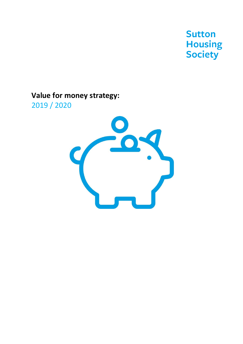**Sutton Housing**<br>Society

# **Value for money strategy:**

2019 / 2020

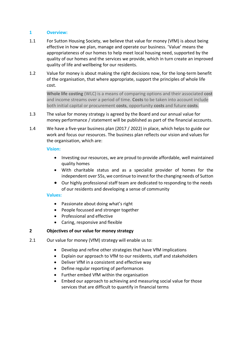### **1 Overview:**

- 1.1 For Sutton Housing Society, we believe that value for money (VfM) is about being effective in how we plan, manage and operate our business. 'Value' means the appropriateness of our homes to help meet local housing need, supported by the quality of our homes and the services we provide, which in turn create an improved quality of life and wellbeing for our residents.
- 1.2 Value for money is about making the right decisions now, for the long-term benefit of the organisation, that where appropriate, support the principles of whole life cost.

**Whole life costing** (WLC) is a means of comparing options and their associated **cost**  and income streams over a period of time. **Costs** to be taken into account include both initial capital or procurement **costs**, opportunity **costs** and future **costs**.

- 1.3 The value for money strategy is agreed by the Board and our annual value for money performance / statement will be published as part of the financial accounts.
- 1.4 We have a five-year business plan (2017 / 2022) in place, which helps to guide our work and focus our resources. The business plan reflects our vision and values for the organisation, which are:

#### **Vision:**

- Investing our resources, we are proud to provide affordable, well maintained quality homes
- With charitable status and as a specialist provider of homes for the independent over 55s, we continue to invest for the changing needs of Sutton
- Our highly professional staff team are dedicated to responding to the needs of our residents and developing a sense of community

#### **Values:**

- Passionate about doing what's right
- People focussed and stronger together
- Professional and effective
- Caring, responsive and flexible

### **2 Objectives of our value for money strategy**

- 2.1 Our value for money (VfM) strategy will enable us to:
	- Develop and refine other strategies that have VfM implications
	- Explain our approach to VfM to our residents, staff and stakeholders
	- Deliver VfM in a consistent and effective way
	- Define regular reporting of performances
	- Further embed VfM within the organisation
	- Embed our approach to achieving and measuring social value for those services that are difficult to quantify in financial terms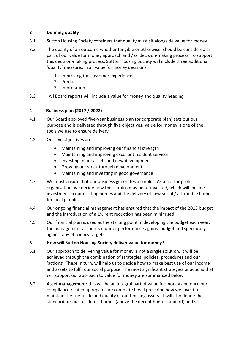# **3 Defining quality**

- 3.1 Sutton Housing Society considers that quality must sit alongside value for money.
- 3.2 The quality of an outcome whether tangible or otherwise, should be considered as part of our value for money approach and / or decision-making process. To support this decision-making process, Sutton Housing Society will include three additional 'quality' measures in all value for money decisions:
	- 1. Improving the customer experience
	- 2. Product
	- 3. Information
- 3.3 All Board reports will include a value for money and quality heading.

# **4 Business plan (2017 / 2022)**

- 4.1 Our Board approved five-year business plan (or corporate plan) sets out our purpose and is delivered through five objectives. Value for money is one of the tools we use to ensure delivery.
- 4.2 Our five objectives are:
	- Maintaining and improving our financial strength
	- Maintaining and improving excellent resident services
	- Investing in our assets and new development
	- Growing our stock through development
	- Maintaining and investing in good governance
- 4.3 We must ensure that our business generates a surplus. As a not for profit organisation, we decide how this surplus may be re-invested, which will include investment in our existing homes and the delivery of new social / affordable homes for local people.
- 4.4 Our ongoing financial management has ensured that the impact of the 2015 budget and the introduction of a 1% rent reduction has been minimised.
- 4.5 Our financial plan is used as the starting point in developing the budget each year; the management accounts monitor performance against budget and specifically against any efficiency targets.

### **5 How will Sutton Housing Society deliver value for money?**

- 5.1 Our approach to delivering value for money is not a single solution. It will be achieved through the combination of strategies, policies, procedures and our 'actions'. These in turn, will help us to decide how to make best use of our income and assets to fulfil our social purpose. The most significant strategies or actions that will support our approach to value for money are summarised below:
- 5.2 **Asset management:** this will be an integral part of value for money and once our compliance / catch up repairs are complete it will prescribe how we invest to maintain the useful life and quality of our housing assets. It will also define the standard for our residents' homes (above the decent home standard) and set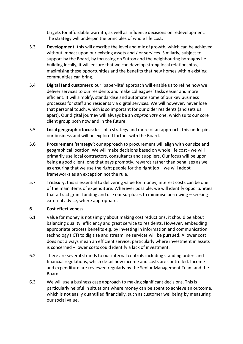targets for affordable warmth, as well as influence decisions on redevelopment. The strategy will underpin the principles of whole life cost.

- 5.3 **Development:** this will describe the level and mix of growth, which can be achieved without impact upon our existing assets and / or services. Similarly, subject to support by the Board, by focussing on Sutton and the neighbouring boroughs i.e. building locally, it will ensure that we can develop strong local relationships, maximising these opportunities and the benefits that new homes within existing communities can bring.
- 5.4 **Digital (and customer):** our 'paper-lite' approach will enable us to refine how we deliver services to our residents and make colleagues' tasks easier and more efficient. It will simplify, standardise and automate some of our key business processes for staff and residents via digital services. We will however, never lose that personal touch, which is so important for our older residents (and sets us apart). Our digital journey will always be an *appropriate* one, which suits our core client group both now and in the future.
- 5.5 **Local geographic focus:** less of a strategy and more of an approach, this underpins our business and will be explored further with the Board.
- 5.6 **Procurement 'strategy':** our approach to procurement will align with our size and geographical location. We will make decisions based on whole life cost - we will primarily use local contractors, consultants and suppliers. Our focus will be upon being a good client, one that pays promptly, rewards rather than penalises as well as ensuring that we use the right people for the right job – we will adopt frameworks as an exception not the rule.
- 5.7 **Treasury:** this is essential to delivering value for money, interest costs can be one of the main items of expenditure. Wherever possible, we will identify opportunities that attract grant funding and use our surpluses to minimise borrowing – seeking external advice, where appropriate.

#### **6 Cost effectiveness**

- 6.1 Value for money is not simply about making cost reductions, it should be about balancing quality, efficiency and great service to residents. However, embedding appropriate process benefits e.g. by investing in information and communication technology (ICT) to digitise and streamline services will be pursued. A lower cost does not always mean an efficient service, particularly where investment in assets is concerned – lower costs could identify a lack of investment.
- 6.2 There are several strands to our internal controls including standing orders and financial regulations, which detail how income and costs are controlled. Income and expenditure are reviewed regularly by the Senior Management Team and the Board.
- 6.3 We will use a business case approach to making significant decisions. This is particularly helpful in situations where money can be spent to achieve an outcome, which is not easily quantified financially, such as customer wellbeing by measuring our social value.